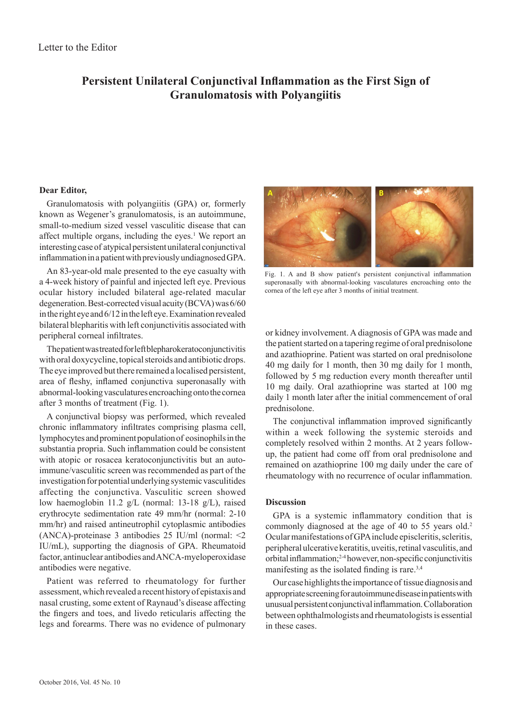## **Persistent Unilateral Conjunctival Inflammation as the First Sign of Granulomatosis with Polyangiitis**

## **Dear Editor,**

Granulomatosis with polyangiitis (GPA) or, formerly known as Wegener's granulomatosis, is an autoimmune, small-to-medium sized vessel vasculitic disease that can affect multiple organs, including the eyes.<sup>1</sup> We report an interesting case of atypical persistent unilateral conjunctival inflammation in a patient with previously undiagnosed GPA.

An 83-year-old male presented to the eye casualty with a 4-week history of painful and injected left eye. Previous ocular history included bilateral age-related macular degeneration. Best-corrected visual acuity (BCVA) was 6/60 in the right eye and 6/12 in the left eye. Examination revealed bilateral blepharitis with left conjunctivitis associated with peripheral corneal infiltrates.

The patient was treated for left blepharokeratoconjunctivitis with oral doxycycline, topical steroids and antibiotic drops. The eye improved but there remained a localised persistent, area of fleshy, inflamed conjunctiva superonasally with abnormal-looking vasculatures encroaching onto the cornea after 3 months of treatment (Fig. 1).

A conjunctival biopsy was performed, which revealed chronic inflammatory infiltrates comprising plasma cell, lymphocytes and prominent population of eosinophils in the substantia propria. Such inflammation could be consistent with atopic or rosacea keratoconjunctivitis but an autoimmune/vasculitic screen was recommended as part of the investigation for potential underlying systemic vasculitides affecting the conjunctiva. Vasculitic screen showed low haemoglobin 11.2 g/L (normal: 13-18 g/L), raised erythrocyte sedimentation rate 49 mm/hr (normal: 2-10 mm/hr) and raised antineutrophil cytoplasmic antibodies (ANCA)-proteinase 3 antibodies 25 IU/ml (normal: <2 IU/mL), supporting the diagnosis of GPA. Rheumatoid factor, antinuclear antibodies and ANCA-myeloperoxidase antibodies were negative.

Patient was referred to rheumatology for further assessment, which revealed a recent history of epistaxis and nasal crusting, some extent of Raynaud's disease affecting the fingers and toes, and livedo reticularis affecting the legs and forearms. There was no evidence of pulmonary



Fig. 1. A and B show patient's persistent conjunctival inflammation superonasally with abnormal-looking vasculatures encroaching onto the cornea of the left eye after 3 months of initial treatment.

or kidney involvement. A diagnosis of GPA was made and the patient started on a tapering regime of oral prednisolone and azathioprine. Patient was started on oral prednisolone 40 mg daily for 1 month, then 30 mg daily for 1 month, followed by 5 mg reduction every month thereafter until 10 mg daily. Oral azathioprine was started at 100 mg daily 1 month later after the initial commencement of oral prednisolone.

The conjunctival inflammation improved significantly within a week following the systemic steroids and completely resolved within 2 months. At 2 years followup, the patient had come off from oral prednisolone and remained on azathioprine 100 mg daily under the care of rheumatology with no recurrence of ocular inflammation.

## **Discussion**

GPA is a systemic inflammatory condition that is commonly diagnosed at the age of 40 to 55 years old.<sup>2</sup> Ocular manifestations of GPA include episcleritis, scleritis, peripheral ulcerative keratitis, uveitis, retinal vasculitis, and orbital inflammation;2-4 however, non-specific conjunctivitis manifesting as the isolated finding is rare.<sup>3,4</sup>

Our case highlights the importance of tissue diagnosis and appropriate screening for autoimmune disease in patients with unusual persistent conjunctival inflammation. Collaboration between ophthalmologists and rheumatologists is essential in these cases.